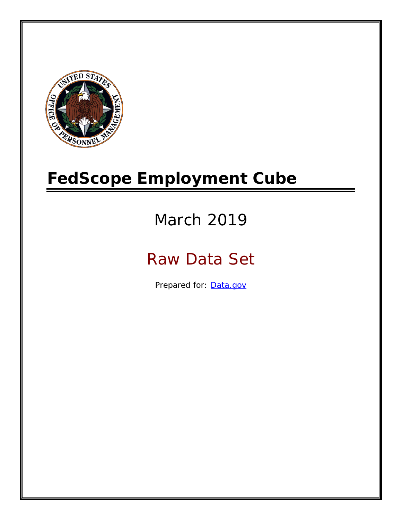

# **FedScope Employment Cube**

# March 2019

# Raw Data Set

Prepared for: [Data.gov](http://www.data.gov/)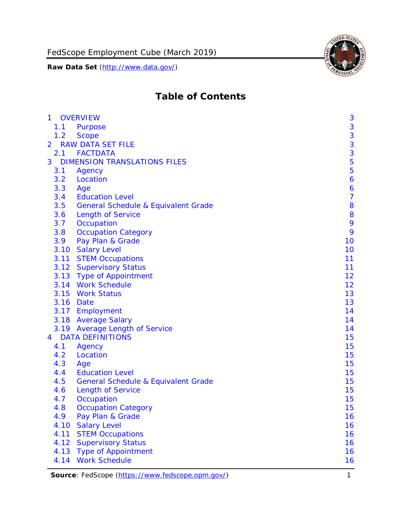

# **Table of Contents**

| $\mathbf{1}$ |      | <b>OVERVIEW</b>                                | 3                |
|--------------|------|------------------------------------------------|------------------|
|              | 1.1  | Purpose                                        | $\mathbf{3}$     |
|              | 1.2  | <b>Scope</b>                                   | 3                |
| 2            |      | <b>RAW DATA SET FILE</b>                       | $\frac{3}{3}$    |
|              | 2.1  | <b>FACTDATA</b>                                |                  |
| 3            |      | <b>DIMENSION TRANSLATIONS FILES</b>            | 5                |
|              | 3.1  | Agency                                         | 5                |
|              | 3.2  | Location                                       | $\boldsymbol{6}$ |
|              | 3.3  | Age                                            | 6                |
|              | 3.4  | <b>Education Level</b>                         | $\overline{7}$   |
|              | 3.5  | <b>General Schedule &amp; Equivalent Grade</b> | 8                |
|              | 3.6  | <b>Length of Service</b>                       | 8                |
|              | 3.7  | Occupation                                     | 9                |
|              | 3.8  | <b>Occupation Category</b>                     | 9                |
|              | 3.9  | Pay Plan & Grade                               | 10               |
|              | 3.10 | <b>Salary Level</b>                            | 10               |
|              |      | 3.11 STEM Occupations                          | 11               |
|              |      | 3.12 Supervisory Status                        | 11               |
|              |      | 3.13 Type of Appointment                       | 12               |
|              |      | 3.14 Work Schedule                             | 12               |
|              | 3.15 | <b>Work Status</b>                             | 13               |
|              | 3.16 | Date                                           | 13               |
|              |      | 3.17 Employment                                | 14               |
|              |      | 3.18 Average Salary                            | 14               |
|              |      | 3.19 Average Length of Service                 | 14               |
| 4            |      | <b>DATA DEFINITIONS</b>                        | 15               |
|              | 4.1  | Agency                                         | 15               |
|              | 4.2  | Location                                       | 15               |
|              | 4.3  | Age                                            | 15               |
|              | 4.4  | <b>Education Level</b>                         | 15               |
|              | 4.5  | <b>General Schedule &amp; Equivalent Grade</b> | 15               |
|              | 4.6  | <b>Length of Service</b>                       | 15               |
|              | 4.7  | Occupation                                     | 15               |
|              | 4.8  | <b>Occupation Category</b>                     | 15               |
|              | 4.9  | Pay Plan & Grade                               | 16               |
|              | 4.10 | <b>Salary Level</b>                            | 16               |
|              | 4.11 | <b>STEM Occupations</b>                        | 16               |
|              | 4.12 | <b>Supervisory Status</b>                      | 16               |
|              | 4.13 | <b>Type of Appointment</b>                     | 16               |
|              | 4.14 | <b>Work Schedule</b>                           | 16               |

**Source**: FedScope [\(https://www.fedscope.opm.gov/\)](https://www.fedscope.opm.gov/) 1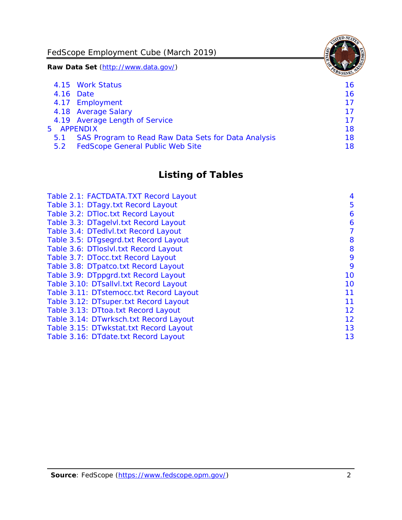FedScope Employment Cube (March 2019)

**Raw Data Set** (http://www.data.gov/)

|            | 4.15 Work Status                                    | 16 |
|------------|-----------------------------------------------------|----|
|            | 4.16 Date                                           | 16 |
|            | 4.17 Employment                                     | 17 |
|            | 4.18 Average Salary                                 | 17 |
|            | 4.19 Average Length of Service                      | 17 |
| 5 APPENDIX |                                                     | 18 |
| 5.1        | SAS Program to Read Raw Data Sets for Data Analysis | 18 |
| 5.2        | <b>FedScope General Public Web Site</b>             | 18 |
|            |                                                     |    |

# **Listing of Tables**

| Table 2.1: FACTDATA. TXT Record Layout  | 4  |
|-----------------------------------------|----|
| Table 3.1: DTagy.txt Record Layout      | 5  |
| Table 3.2: DTloc.txt Record Layout      | 6  |
| Table 3.3: DTagelvl.txt Record Layout   | 6  |
| Table 3.4: DTedlvl.txt Record Layout    | 7  |
| Table 3.5: DTgsegrd.txt Record Layout   | 8  |
| Table 3.6: DTIoslvI.txt Record Layout   | 8  |
| Table 3.7: DTocc.txt Record Layout      | 9  |
| Table 3.8: DTpatco.txt Record Layout    | 9  |
| Table 3.9: DTppgrd.txt Record Layout    | 10 |
| Table 3.10: DTsallvl.txt Record Layout  | 10 |
| Table 3.11: DTstemocc.txt Record Layout | 11 |
| Table 3.12: DTsuper.txt Record Layout   | 11 |
| Table 3.13: DTtoa.txt Record Layout     | 12 |
| Table 3.14: DTwrksch.txt Record Layout  | 12 |
| Table 3.15: DTwkstat.txt Record Layout  | 13 |
| Table 3.16: DTdate.txt Record Layout    | 13 |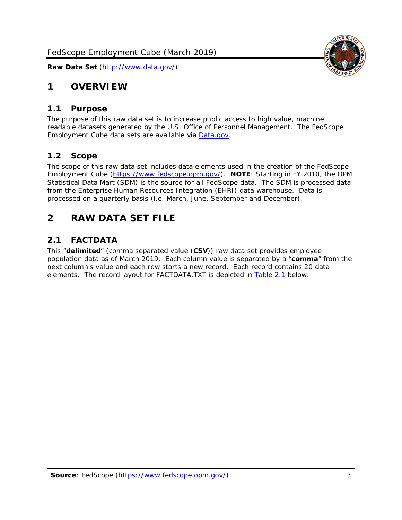

# <span id="page-3-0"></span>**1 OVERVIEW**

#### <span id="page-3-1"></span>*1.1 Purpose*

The purpose of this raw data set is to increase public access to high value, machine readable datasets generated by the U.S. Office of Personnel Management. The FedScope Employment Cube data sets are available via [Data.gov.](http://www.data.gov/)

#### <span id="page-3-2"></span>*1.2 Scope*

The scope of this raw data set includes data elements used in the creation of the FedScope Employment Cube [\(https://www.fedscope.opm.gov/\)](https://www.fedscope.opm.gov/). **NOTE**: Starting in FY 2010, the OPM Statistical Data Mart (SDM) is the source for all FedScope data. The SDM is processed data from the Enterprise Human Resources Integration (EHRI) data warehouse. Data is processed on a quarterly basis (i.e. March, June, September and December).

# <span id="page-3-3"></span>**2 RAW DATA SET FILE**

### <span id="page-3-4"></span>*2.1 FACTDATA*

This "**delimited**" (comma separated value (**CSV**)) raw data set provides employee population data as of March 2019. Each column value is separated by a "**comma**" from the next column's value and each row starts a new record. Each record contains 20 data elements. The record layout for FACTDATA.TXT is depicted in [Table 2.1](#page-4-0) below: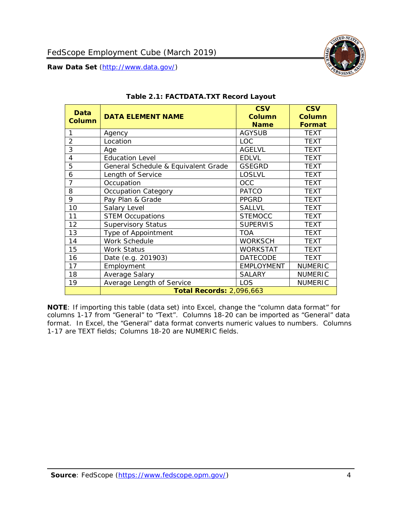

<span id="page-4-0"></span>

| Data<br><b>Column</b> | <b>DATA ELEMENT NAME</b>            | <b>CSV</b><br><b>Column</b><br><b>Name</b> | <b>CSV</b><br><b>Column</b><br>Format |
|-----------------------|-------------------------------------|--------------------------------------------|---------------------------------------|
| 1                     | Agency                              | <b>AGYSUB</b>                              | <b>TEXT</b>                           |
| $\overline{2}$        | Location                            | LOC                                        | <b>TEXT</b>                           |
| 3                     | Age                                 | <b>AGELVL</b>                              | <b>TEXT</b>                           |
| 4                     | <b>Education Level</b>              | <b>EDLVL</b>                               | <b>TEXT</b>                           |
| 5                     | General Schedule & Equivalent Grade | <b>GSEGRD</b>                              | <b>TEXT</b>                           |
| 6                     | Length of Service                   | <b>LOSLVL</b>                              | <b>TEXT</b>                           |
| $\overline{7}$        | Occupation                          | <b>OCC</b>                                 | <b>TEXT</b>                           |
| 8                     | <b>Occupation Category</b>          | <b>PATCO</b>                               | <b>TEXT</b>                           |
| 9                     | Pay Plan & Grade                    | <b>PPGRD</b>                               | <b>TEXT</b>                           |
| 10                    | Salary Level                        | <b>SALLVL</b>                              | <b>TEXT</b>                           |
| 11                    | <b>STEM Occupations</b>             | <b>STEMOCC</b>                             | <b>TEXT</b>                           |
| 12                    | <b>Supervisory Status</b>           | <b>SUPERVIS</b>                            | <b>TEXT</b>                           |
| 13                    | Type of Appointment                 | <b>TOA</b>                                 | <b>TEXT</b>                           |
| 14                    | Work Schedule                       | <b>WORKSCH</b>                             | <b>TEXT</b>                           |
| 15                    | <b>Work Status</b>                  | <b>WORKSTAT</b>                            | <b>TEXT</b>                           |
| 16                    | Date (e.g. 201903)                  | <b>DATECODE</b>                            | <b>TEXT</b>                           |
| 17                    | Employment                          | <b>EMPLOYMENT</b>                          | <b>NUMERIC</b>                        |
| 18                    | Average Salary                      | <b>SALARY</b>                              | <b>NUMERIC</b>                        |
| 19                    | Average Length of Service           | LOS                                        | <b>NUMERIC</b>                        |
|                       | <b>Total Records: 2,096,663</b>     |                                            |                                       |

#### **Table 2.1: FACTDATA.TXT Record Layout**

**NOTE**: If importing this table (data set) into Excel, change the "column data format" for columns 1-17 from "General" to "Text". Columns 18-20 can be imported as "General" data format. In Excel, the "General" data format converts numeric values to numbers. Columns 1-17 are TEXT fields; Columns 18-20 are NUMERIC fields.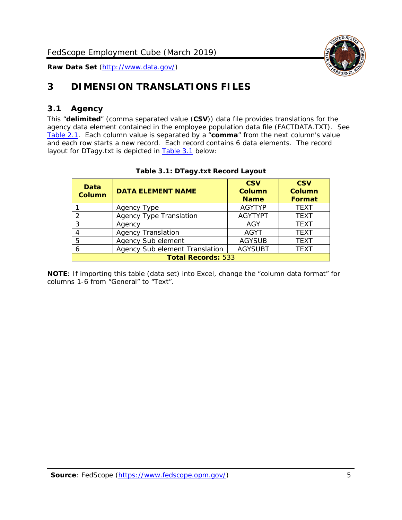

# <span id="page-5-0"></span>**3 DIMENSION TRANSLATIONS FILES**

# <span id="page-5-1"></span>*3.1 Agency*

This "**delimited**" (comma separated value (**CSV**)) data file provides translations for the agency data element contained in the employee population data file (FACTDATA.TXT). See [Table 2.1.](#page-4-0) Each column value is separated by a "**comma**" from the next column's value and each row starts a new record. Each record contains 6 data elements. The record layout for DTagy.txt is depicted in **[Table 3.1](#page-5-2)** below:

<span id="page-5-2"></span>

| Data<br>Column            | <b>DATA ELEMENT NAME</b>       | <b>CSV</b><br>Column<br><b>Name</b> | <b>CSV</b><br>Column<br><b>Format</b> |  |
|---------------------------|--------------------------------|-------------------------------------|---------------------------------------|--|
|                           | Agency Type                    | <b>AGYTYP</b>                       | <b>TEXT</b>                           |  |
| 2                         | <b>Agency Type Translation</b> | <b>AGYTYPT</b>                      | <b>TEXT</b>                           |  |
| 3                         | Agency                         | AGY                                 | <b>TEXT</b>                           |  |
|                           | <b>Agency Translation</b>      | <b>AGYT</b>                         | <b>TEXT</b>                           |  |
| 5                         | Agency Sub element             | <b>AGYSUB</b>                       | <b>TEXT</b>                           |  |
| 6                         | Agency Sub element Translation | <b>AGYSUBT</b>                      | <b>TEXT</b>                           |  |
| <b>Total Records: 533</b> |                                |                                     |                                       |  |

#### **Table 3.1: DTagy.txt Record Layout**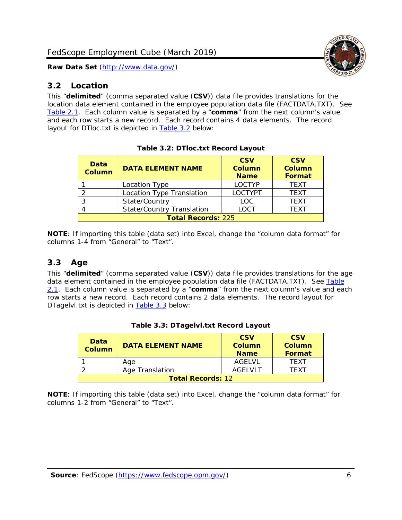#### <span id="page-6-0"></span>*3.2 Location*

This "**delimited**" (comma separated value (**CSV**)) data file provides translations for the location data element contained in the employee population data file (FACTDATA.TXT). See [Table 2.1.](#page-4-0) Each column value is separated by a "**comma**" from the next column's value and each row starts a new record. Each record contains 4 data elements. The record layout for DTloc.txt is depicted in [Table 3.2](#page-6-2) below:

<span id="page-6-2"></span>

| Data<br><b>Column</b>     | <b>DATA ELEMENT NAME</b>         | <b>CSV</b><br>Column<br><b>Name</b> | <b>CSV</b><br><b>Column</b><br><b>Format</b> |  |
|---------------------------|----------------------------------|-------------------------------------|----------------------------------------------|--|
|                           | Location Type                    | <b>LOCTYP</b>                       | <b>TFXT</b>                                  |  |
|                           | Location Type Translation        | <b>LOCTYPT</b>                      | <b>TEXT</b>                                  |  |
| ົ                         | State/Country                    | <b>LOC</b>                          | <b>TFXT</b>                                  |  |
|                           | <b>State/Country Translation</b> | LOCT                                | <b>TFXT</b>                                  |  |
| <b>Total Records: 225</b> |                                  |                                     |                                              |  |

**Table 3.2: DTloc.txt Record Layout**

**NOTE**: If importing this table (data set) into Excel, change the "column data format" for columns 1-4 from "General" to "Text".

# <span id="page-6-1"></span>*3.3 Age*

This "**delimited**" (comma separated value (**CSV**)) data file provides translations for the age data element contained in the employee population data file (FACTDATA.TXT). See Table [2.1.](#page-4-0) Each column value is separated by a "**comma**" from the next column's value and each row starts a new record. Each record contains 2 data elements. The record layout for DTagelvl.txt is depicted in [Table 3.3](#page-6-3) below:

<span id="page-6-3"></span>

| <b>Data</b><br><b>Column</b> | <b>DATA ELEMENT NAME</b> | <b>CSV</b><br>Column<br><b>Name</b> | <b>CSV</b><br>Column<br>Format |
|------------------------------|--------------------------|-------------------------------------|--------------------------------|
|                              | Aae                      | AGELVL                              | TFXT                           |
|                              | Age Translation          | AGFI VI T                           | TFXT                           |
| <b>Total Records: 12</b>     |                          |                                     |                                |

|  |  | Table 3.3: DTagelvl.txt Record Layout |  |  |
|--|--|---------------------------------------|--|--|
|--|--|---------------------------------------|--|--|

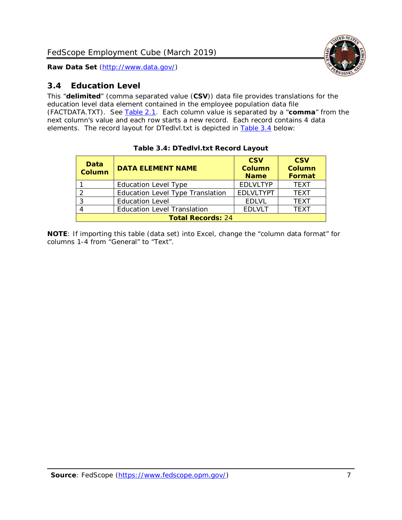

# <span id="page-7-0"></span>*3.4 Education Level*

This "**delimited**" (comma separated value (**CSV**)) data file provides translations for the education level data element contained in the employee population data file (FACTDATA.TXT). See [Table 2.1.](#page-4-0) Each column value is separated by a "**comma**" from the next column's value and each row starts a new record. Each record contains 4 data elements. The record layout for DTedlvl.txt is depicted in [Table 3.4](#page-7-1) below:

<span id="page-7-1"></span>

| Data<br><b>Column</b> | <b>DATA ELEMENT NAME</b>           | <b>CSV</b><br><b>Column</b><br><b>Name</b> | <b>CSV</b><br><b>Column</b><br><b>Format</b> |  |  |  |
|-----------------------|------------------------------------|--------------------------------------------|----------------------------------------------|--|--|--|
|                       | <b>Education Level Type</b>        | <b>EDLVLTYP</b>                            | <b>TEXT</b>                                  |  |  |  |
|                       | Education Level Type Translation   | <b>EDLVLTYPT</b>                           | <b>TEXT</b>                                  |  |  |  |
| っ                     | <b>Education Level</b>             | <b>EDLVL</b>                               | <b>TEXT</b>                                  |  |  |  |
|                       | <b>Education Level Translation</b> | <b>EDLVLT</b>                              | <b>TEXT</b>                                  |  |  |  |
|                       | <b>Total Records: 24</b>           |                                            |                                              |  |  |  |

#### **Table 3.4: DTedlvl.txt Record Layout**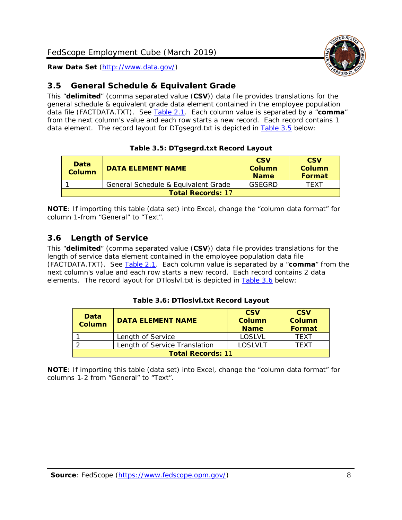

# <span id="page-8-0"></span>*3.5 General Schedule & Equivalent Grade*

This "**delimited**" (comma separated value (**CSV**)) data file provides translations for the general schedule & equivalent grade data element contained in the employee population data file (FACTDATA.TXT). See [Table 2.1.](#page-4-0) Each column value is separated by a "**comma**" from the next column's value and each row starts a new record. Each record contains 1 data element. The record layout for DTgsegrd.txt is depicted in [Table 3.5](#page-8-2) below:

#### **Table 3.5: DTgsegrd.txt Record Layout**

<span id="page-8-2"></span>

| Data<br>Column           | <b>DATA ELEMENT NAME</b>            | <b>CSV</b><br>Column<br><b>Name</b> | <b>CSV</b><br>Column<br><b>Format</b> |  |
|--------------------------|-------------------------------------|-------------------------------------|---------------------------------------|--|
|                          | General Schedule & Equivalent Grade | GSFGRD                              | TFXT                                  |  |
| <b>Total Records: 17</b> |                                     |                                     |                                       |  |

**NOTE**: If importing this table (data set) into Excel, change the "column data format" for column 1-from "General" to "Text".

# <span id="page-8-1"></span>*3.6 Length of Service*

This "**delimited**" (comma separated value (**CSV**)) data file provides translations for the length of service data element contained in the employee population data file (FACTDATA.TXT). See [Table 2.1.](#page-4-0) Each column value is separated by a "**comma**" from the next column's value and each row starts a new record. Each record contains 2 data elements. The record layout for DTloslvl.txt is depicted in [Table 3.6](#page-8-3) below:

#### **Table 3.6: DTloslvl.txt Record Layout**

<span id="page-8-3"></span>

| Data<br><b>Column</b>    | <b>DATA ELEMENT NAME</b>      | <b>CSV</b><br>Column<br><b>Name</b> | <b>CSV</b><br>Column<br>Format |  |
|--------------------------|-------------------------------|-------------------------------------|--------------------------------|--|
|                          | Length of Service             | <b>LOSLVL</b>                       | <b>TFXT</b>                    |  |
|                          | Length of Service Translation | I OSI VI T                          | TFXT                           |  |
| <b>Total Records: 11</b> |                               |                                     |                                |  |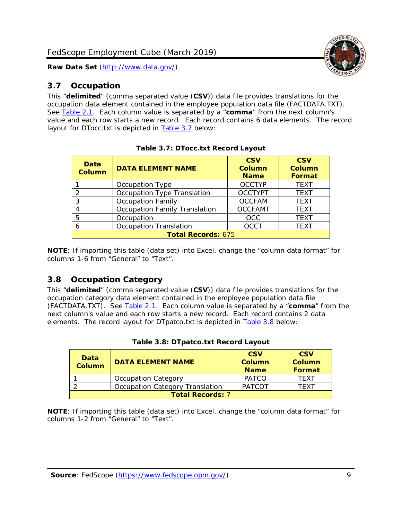# <span id="page-9-0"></span>*3.7 Occupation*

This "**delimited**" (comma separated value (**CSV**)) data file provides translations for the occupation data element contained in the employee population data file (FACTDATA.TXT). See [Table 2.1.](#page-4-0) Each column value is separated by a "**comma**" from the next column's value and each row starts a new record. Each record contains 6 data elements. The record layout for DTocc.txt is depicted in [Table 3.7](#page-9-2) below:

<span id="page-9-2"></span>

| Data<br><b>Column</b>     | <b>DATA ELEMENT NAME</b>             | <b>CSV</b><br><b>Column</b><br><b>Name</b> | <b>CSV</b><br><b>Column</b><br><b>Format</b> |  |
|---------------------------|--------------------------------------|--------------------------------------------|----------------------------------------------|--|
|                           | Occupation Type                      | <b>OCCTYP</b>                              | <b>TEXT</b>                                  |  |
| 2                         | Occupation Type Translation          | <b>OCCTYPT</b>                             | <b>TEXT</b>                                  |  |
| 3                         | <b>Occupation Family</b>             | <b>OCCFAM</b>                              | <b>TEXT</b>                                  |  |
|                           | <b>Occupation Family Translation</b> | <b>OCCFAMT</b>                             | <b>TEXT</b>                                  |  |
| 5                         | Occupation                           | <b>OCC</b>                                 | <b>TEXT</b>                                  |  |
| 6                         | <b>Occupation Translation</b>        | <b>OCCT</b>                                | <b>TEXT</b>                                  |  |
| <b>Total Records: 675</b> |                                      |                                            |                                              |  |

**Table 3.7: DTocc.txt Record Layout**

**NOTE**: If importing this table (data set) into Excel, change the "column data format" for columns 1-6 from "General" to "Text".

# <span id="page-9-1"></span>*3.8 Occupation Category*

This "**delimited**" (comma separated value (**CSV**)) data file provides translations for the occupation category data element contained in the employee population data file (FACTDATA.TXT). See [Table 2.1.](#page-4-0) Each column value is separated by a "**comma**" from the next column's value and each row starts a new record. Each record contains 2 data elements. The record layout for DTpatco.txt is depicted in [Table 3.8](#page-9-3) below:

<span id="page-9-3"></span>

| <b>Data</b><br><b>Column</b> | <b>DATA ELEMENT NAME</b>        | <b>CSV</b><br>Column<br><b>Name</b> | <b>CSV</b><br>Column<br>Format |
|------------------------------|---------------------------------|-------------------------------------|--------------------------------|
|                              | <b>Occupation Category</b>      | <b>PATCO</b>                        | <b>TFXT</b>                    |
|                              | Occupation Category Translation | <b>PATCOT</b>                       | <b>TFXT</b>                    |
| <b>Total Records: 7</b>      |                                 |                                     |                                |

|  |  | Table 3.8: DTpatco.txt Record Layout |  |
|--|--|--------------------------------------|--|
|  |  |                                      |  |

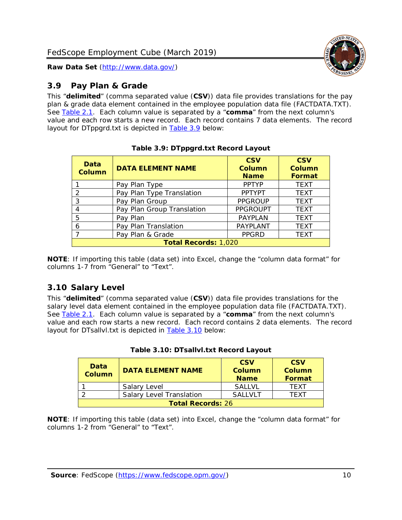

# <span id="page-10-0"></span>*3.9 Pay Plan & Grade*

This "**delimited**" (comma separated value (**CSV**)) data file provides translations for the pay plan & grade data element contained in the employee population data file (FACTDATA.TXT). See [Table 2.1.](#page-4-0) Each column value is separated by a "**comma**" from the next column's value and each row starts a new record. Each record contains 7 data elements. The record layout for DTppgrd.txt is depicted in [Table 3.9](#page-10-2) below:

<span id="page-10-2"></span>

| Data<br><b>Column</b> | <b>DATA ELEMENT NAME</b>    | <b>CSV</b><br><b>Column</b><br><b>Name</b> | <b>CSV</b><br><b>Column</b><br><b>Format</b> |  |
|-----------------------|-----------------------------|--------------------------------------------|----------------------------------------------|--|
|                       | Pay Plan Type               | <b>PPTYP</b>                               | <b>TEXT</b>                                  |  |
| 2                     | Pay Plan Type Translation   | <b>PPTYPT</b>                              | <b>TEXT</b>                                  |  |
| 3                     | Pay Plan Group              | <b>PPGROUP</b>                             | <b>TEXT</b>                                  |  |
| 4                     | Pay Plan Group Translation  | <b>PPGROUPT</b>                            | <b>TEXT</b>                                  |  |
| 5                     | Pay Plan                    | PAYPLAN                                    | <b>TEXT</b>                                  |  |
| 6                     | Pay Plan Translation        | <b>PAYPLANT</b>                            | <b>TEXT</b>                                  |  |
| 7                     | Pay Plan & Grade            | <b>PPGRD</b>                               | <b>TEXT</b>                                  |  |
|                       | <b>Total Records: 1,020</b> |                                            |                                              |  |

#### **Table 3.9: DTppgrd.txt Record Layout**

**NOTE**: If importing this table (data set) into Excel, change the "column data format" for columns 1-7 from "General" to "Text".

# <span id="page-10-1"></span>*3.10 Salary Level*

This "**delimited**" (comma separated value (**CSV**)) data file provides translations for the salary level data element contained in the employee population data file (FACTDATA.TXT). See [Table 2.1.](#page-4-0) Each column value is separated by a "**comma**" from the next column's value and each row starts a new record. Each record contains 2 data elements. The record layout for DTsallvl.txt is depicted in [Table 3.10](#page-10-3) below:

<span id="page-10-3"></span>

| <b>Data</b><br><b>Column</b> | <b>DATA ELEMENT NAME</b>        | <b>CSV</b><br><b>Column</b><br><b>Name</b> | <b>CSV</b><br><b>Column</b><br>Format |
|------------------------------|---------------------------------|--------------------------------------------|---------------------------------------|
|                              | Salary Level                    | <b>SAITVI</b>                              | <b>TFXT</b>                           |
|                              | <b>Salary Level Translation</b> | <b>SALLVLT</b>                             | <b>TFXT</b>                           |
| <b>Total Records: 26</b>     |                                 |                                            |                                       |

|  |  | Table 3.10: DTsallvl.txt Record Layout |  |  |
|--|--|----------------------------------------|--|--|
|--|--|----------------------------------------|--|--|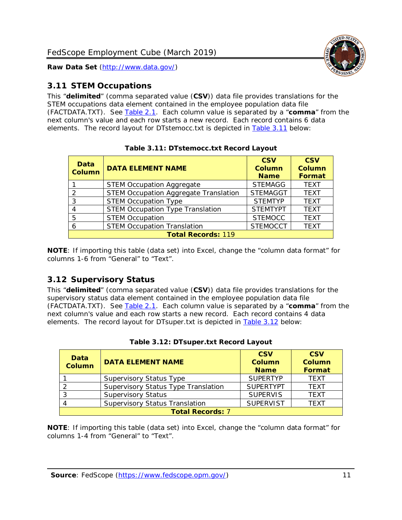

### <span id="page-11-0"></span>*3.11 STEM Occupations*

This "**delimited**" (comma separated value (**CSV**)) data file provides translations for the STEM occupations data element contained in the employee population data file (FACTDATA.TXT). See [Table 2.1.](#page-4-0) Each column value is separated by a "**comma**" from the next column's value and each row starts a new record. Each record contains 6 data elements. The record layout for DTstemocc.txt is depicted in [Table 3.11](#page-11-2) below:

<span id="page-11-2"></span>

| Data<br><b>Column</b> | <b>DATA ELEMENT NAME</b>                     | <b>CSV</b><br><b>Column</b><br><b>Name</b> | <b>CSV</b><br><b>Column</b><br><b>Format</b> |
|-----------------------|----------------------------------------------|--------------------------------------------|----------------------------------------------|
|                       | <b>STEM Occupation Aggregate</b>             | <b>STEMAGG</b>                             | <b>TEXT</b>                                  |
| $\mathcal{P}$         | <b>STEM Occupation Aggregate Translation</b> | <b>STEMAGGT</b>                            | <b>TEXT</b>                                  |
| 3                     | <b>STEM Occupation Type</b>                  | <b>STEMTYP</b>                             | <b>TEXT</b>                                  |
| 4                     | <b>STEM Occupation Type Translation</b>      | <b>STEMTYPT</b>                            | <b>TEXT</b>                                  |
| 5                     | <b>STEM Occupation</b>                       | <b>STEMOCC</b>                             | <b>TEXT</b>                                  |
| 6                     | <b>STEM Occupation Translation</b>           | <b>STEMOCCT</b>                            | <b>TEXT</b>                                  |
|                       | <b>Total Records: 119</b>                    |                                            |                                              |

**Table 3.11: DTstemocc.txt Record Layout**

**NOTE**: If importing this table (data set) into Excel, change the "column data format" for columns 1-6 from "General" to "Text".

# <span id="page-11-1"></span>*3.12 Supervisory Status*

This "**delimited**" (comma separated value (**CSV**)) data file provides translations for the supervisory status data element contained in the employee population data file (FACTDATA.TXT). See [Table 2.1.](#page-4-0) Each column value is separated by a "**comma**" from the next column's value and each row starts a new record. Each record contains 4 data elements. The record layout for DTsuper.txt is depicted in [Table 3.12](#page-11-3) below:

<span id="page-11-3"></span>

| Data<br><b>Column</b>   | <b>DATA ELEMENT NAME</b>              | <b>CSV</b><br><b>Column</b><br><b>Name</b> | <b>CSV</b><br><b>Column</b><br><b>Format</b> |  |
|-------------------------|---------------------------------------|--------------------------------------------|----------------------------------------------|--|
|                         | <b>Supervisory Status Type</b>        | <b>SUPERTYP</b>                            | <b>TEXT</b>                                  |  |
|                         | Supervisory Status Type Translation   | <b>SUPERTYPT</b>                           | <b>TFXT</b>                                  |  |
|                         | <b>Supervisory Status</b>             | <b>SUPERVIS</b>                            | <b>TEXT</b>                                  |  |
|                         | <b>Supervisory Status Translation</b> | <b>SUPERVIST</b>                           | <b>TEXT</b>                                  |  |
| <b>Total Records: 7</b> |                                       |                                            |                                              |  |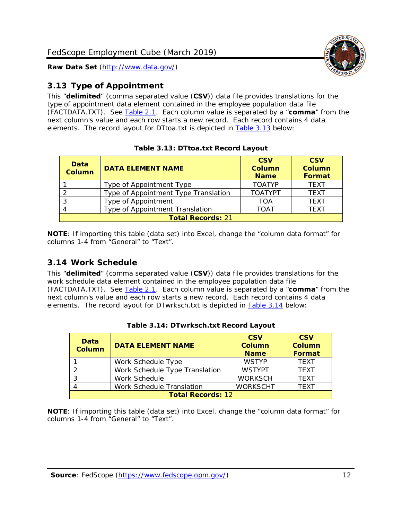

# <span id="page-12-0"></span>*3.13 Type of Appointment*

This "**delimited**" (comma separated value (**CSV**)) data file provides translations for the type of appointment data element contained in the employee population data file (FACTDATA.TXT). See [Table 2.1.](#page-4-0) Each column value is separated by a "**comma**" from the next column's value and each row starts a new record. Each record contains 4 data elements. The record layout for DTtoa.txt is depicted in [Table 3.13](#page-12-2) below:

<span id="page-12-2"></span>

| Data<br><b>Column</b>    | <b>DATA ELEMENT NAME</b>             | <b>CSV</b><br>Column<br><b>Name</b> | <b>CSV</b><br>Column<br><b>Format</b> |
|--------------------------|--------------------------------------|-------------------------------------|---------------------------------------|
|                          | Type of Appointment Type             | <b>TOATYP</b>                       | <b>TFXT</b>                           |
|                          | Type of Appointment Type Translation | <b>TOATYPT</b>                      | <b>TEXT</b>                           |
|                          | Type of Appointment                  | <b>TOA</b>                          | <b>TFXT</b>                           |
|                          | Type of Appointment Translation      | <b>TOAT</b>                         | <b>TFXT</b>                           |
| <b>Total Records: 21</b> |                                      |                                     |                                       |

**Table 3.13: DTtoa.txt Record Layout**

**NOTE**: If importing this table (data set) into Excel, change the "column data format" for columns 1-4 from "General" to "Text".

# <span id="page-12-1"></span>*3.14 Work Schedule*

This "**delimited**" (comma separated value (**CSV**)) data file provides translations for the work schedule data element contained in the employee population data file (FACTDATA.TXT). See [Table 2.1.](#page-4-0) Each column value is separated by a "**comma**" from the next column's value and each row starts a new record. Each record contains 4 data elements. The record layout for DTwrksch.txt is depicted in [Table 3.14](#page-12-3) below:

<span id="page-12-3"></span>

| Data<br><b>Column</b>    | <b>DATA ELEMENT NAME</b>       | <b>CSV</b><br>Column<br><b>Name</b> | <b>CSV</b><br><b>Column</b><br><b>Format</b> |
|--------------------------|--------------------------------|-------------------------------------|----------------------------------------------|
|                          | Work Schedule Type             | <b>WSTYP</b>                        | <b>TEXT</b>                                  |
| -2                       | Work Schedule Type Translation | <b>WSTYPT</b>                       | <b>TEXT</b>                                  |
| -3                       | Work Schedule                  | <b>WORKSCH</b>                      | <b>TFXT</b>                                  |
|                          | Work Schedule Translation      | <b>WORKSCHT</b>                     | <b>TFXT</b>                                  |
| <b>Total Records: 12</b> |                                |                                     |                                              |

**Table 3.14: DTwrksch.txt Record Layout**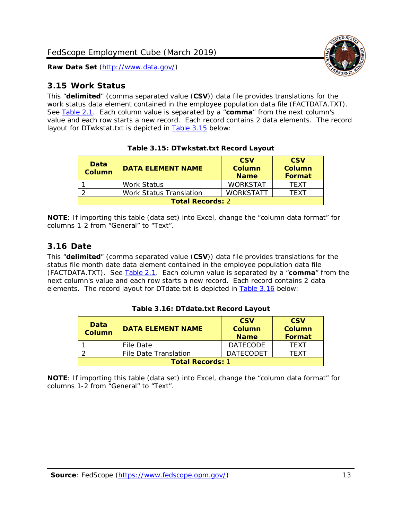<span id="page-13-0"></span>

This "**delimited**" (comma separated value (**CSV**)) data file provides translations for the work status data element contained in the employee population data file (FACTDATA.TXT). See [Table 2.1.](#page-4-0) Each column value is separated by a "**comma**" from the next column's value and each row starts a new record. Each record contains 2 data elements. The record layout for DTwkstat.txt is depicted in [Table 3.15](#page-13-2) below:

<span id="page-13-2"></span>

| Data<br><b>Column</b>   | <b>DATA ELEMENT NAME</b>       | <b>CSV</b><br>Column<br><b>Name</b> | <b>CSV</b><br>Column<br><b>Format</b> |
|-------------------------|--------------------------------|-------------------------------------|---------------------------------------|
|                         | Work Status                    | <b>WORKSTAT</b>                     | <b>TFXT</b>                           |
|                         | <b>Work Status Translation</b> | <b>WORKSTATT</b>                    | TFXT                                  |
| <b>Total Records: 2</b> |                                |                                     |                                       |

**Table 3.15: DTwkstat.txt Record Layout**

**NOTE**: If importing this table (data set) into Excel, change the "column data format" for columns 1-2 from "General" to "Text".

#### <span id="page-13-1"></span>*3.16 Date*

This "**delimited**" (comma separated value (**CSV**)) data file provides translations for the status file month date data element contained in the employee population data file (FACTDATA.TXT). See [Table 2.1.](#page-4-0) Each column value is separated by a "**comma**" from the next column's value and each row starts a new record. Each record contains 2 data elements. The record layout for DTdate.txt is depicted in [Table 3.16](#page-13-3) below:

<span id="page-13-3"></span>

| <b>Data</b><br><b>Column</b> | <b>DATA ELEMENT NAME</b> | <b>CSV</b><br>Column<br><b>Name</b> | <b>CSV</b><br>Column<br>Format |
|------------------------------|--------------------------|-------------------------------------|--------------------------------|
|                              | File Date                | <b>DATECODE</b>                     | <b>TFXT</b>                    |
|                              | File Date Translation    | <b>DATECODET</b>                    | TFXT                           |
| <b>Total Records: 1</b>      |                          |                                     |                                |

**Table 3.16: DTdate.txt Record Layout**

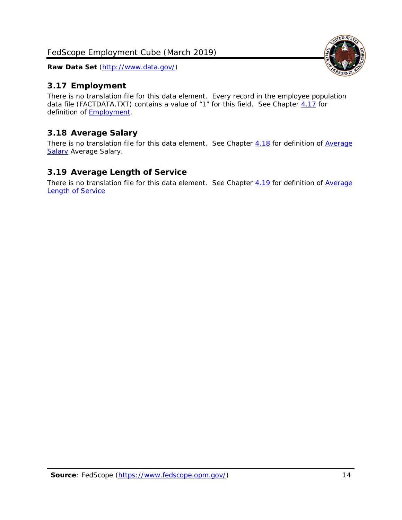### <span id="page-14-0"></span>*3.17 Employment*

There is no translation file for this data element. Every record in the employee population data file (FACTDATA.TXT) contains a value of "1" for this field. See Chapter [4.17](#page-16-8) for definition of **Employment**.

# <span id="page-14-1"></span>*3.18 Average Salary*

There is no translation file for this data element. See Chapter [4.18](#page-17-1) for definition of Average [Salary](#page-17-1) [Average Salary.](#page-17-1)

### <span id="page-14-2"></span>*3.19 Average Length of Service*

There is no translation file for this data element. See Chapter [4.19](#page-17-2) for definition of Average [Length of Service](#page-17-2)

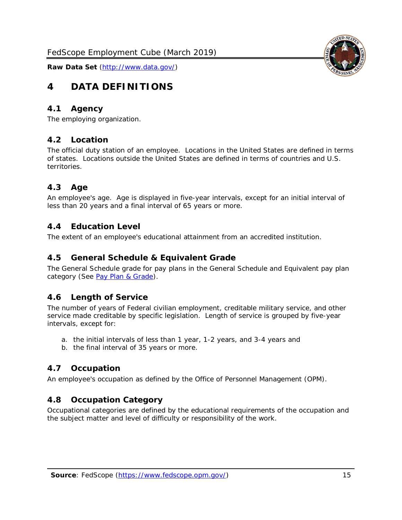<span id="page-15-0"></span>

### <span id="page-15-1"></span>*4.1 Agency*

<span id="page-15-2"></span>The employing organization.

### *4.2 Location*

The official duty station of an employee. Locations in the United States are defined in terms of states. Locations outside the United States are defined in terms of countries and U.S. territories.

# <span id="page-15-3"></span>*4.3 Age*

An employee's age. Age is displayed in five-year intervals, except for an initial interval of less than 20 years and a final interval of 65 years or more.

### <span id="page-15-4"></span>*4.4 Education Level*

<span id="page-15-5"></span>The extent of an employee's educational attainment from an accredited institution.

#### *4.5 General Schedule & Equivalent Grade*

The General Schedule grade for pay plans in the General Schedule and Equivalent pay plan category (See [Pay Plan & Grade\)](#page-16-0).

#### <span id="page-15-6"></span>*4.6 Length of Service*

The number of years of Federal civilian employment, creditable military service, and other service made creditable by specific legislation. Length of service is grouped by five-year intervals, except for:

- a. the initial intervals of less than 1 year, 1-2 years, and 3-4 years and
- b. the final interval of 35 years or more.

# <span id="page-15-7"></span>*4.7 Occupation*

<span id="page-15-8"></span>An employee's occupation as defined by the Office of Personnel Management (OPM).

#### *4.8 Occupation Category*

Occupational categories are defined by the educational requirements of the occupation and the subject matter and level of difficulty or responsibility of the work.

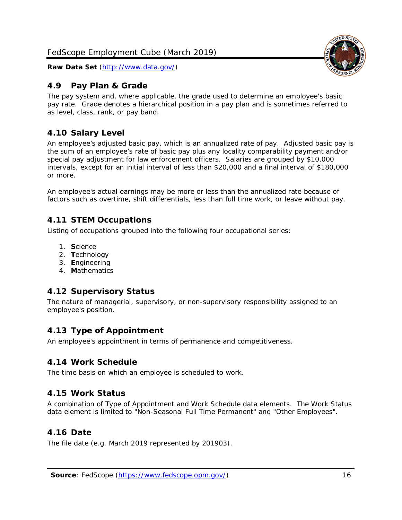

### <span id="page-16-0"></span>*4.9 Pay Plan & Grade*

The pay system and, where applicable, the grade used to determine an employee's basic pay rate. Grade denotes a hierarchical position in a pay plan and is sometimes referred to as level, class, rank, or pay band.

### <span id="page-16-1"></span>*4.10 Salary Level*

An employee's adjusted basic pay, which is an annualized rate of pay. Adjusted basic pay is the sum of an employee's rate of basic pay plus any locality comparability payment and/or special pay adjustment for law enforcement officers. Salaries are grouped by \$10,000 intervals, except for an initial interval of less than \$20,000 and a final interval of \$180,000 or more.

An employee's actual earnings may be more or less than the annualized rate because of factors such as overtime, shift differentials, less than full time work, or leave without pay.

### <span id="page-16-2"></span>*4.11 STEM Occupations*

Listing of occupations grouped into the following four occupational series:

- 1. **S**cience
- 2. **T**echnology
- 3. **E**ngineering
- 4. **M**athematics

# <span id="page-16-3"></span>*4.12 Supervisory Status*

The nature of managerial, supervisory, or non-supervisory responsibility assigned to an employee's position.

#### <span id="page-16-4"></span>*4.13 Type of Appointment*

<span id="page-16-5"></span>An employee's appointment in terms of permanence and competitiveness.

#### *4.14 Work Schedule*

<span id="page-16-6"></span>The time basis on which an employee is scheduled to work.

#### *4.15 Work Status*

A combination of Type of Appointment and Work Schedule data elements. The Work Status data element is limited to "Non-Seasonal Full Time Permanent" and "Other Employees".

#### <span id="page-16-7"></span>*4.16 Date*

<span id="page-16-8"></span>The file date (e.g. March 2019 represented by 201903).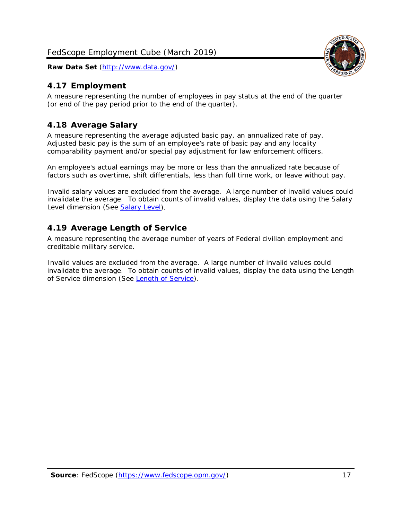# <span id="page-17-0"></span>*4.17 Employment*

A measure representing the number of employees in pay status at the end of the quarter (or end of the pay period prior to the end of the quarter).

# <span id="page-17-1"></span>*4.18 Average Salary*

A measure representing the average adjusted basic pay, an annualized rate of pay. Adjusted basic pay is the sum of an employee's rate of basic pay and any locality comparability payment and/or special pay adjustment for law enforcement officers.

An employee's actual earnings may be more or less than the annualized rate because of factors such as overtime, shift differentials, less than full time work, or leave without pay.

Invalid salary values are excluded from the average. A large number of invalid values could invalidate the average. To obtain counts of invalid values, display the data using the Salary Level dimension (See [Salary Level\)](#page-16-1).

# <span id="page-17-2"></span>*4.19 Average Length of Service*

A measure representing the average number of years of Federal civilian employment and creditable military service.

Invalid values are excluded from the average. A large number of invalid values could invalidate the average. To obtain counts of invalid values, display the data using the Length of Service dimension (See [Length of Service\)](#page-15-6).